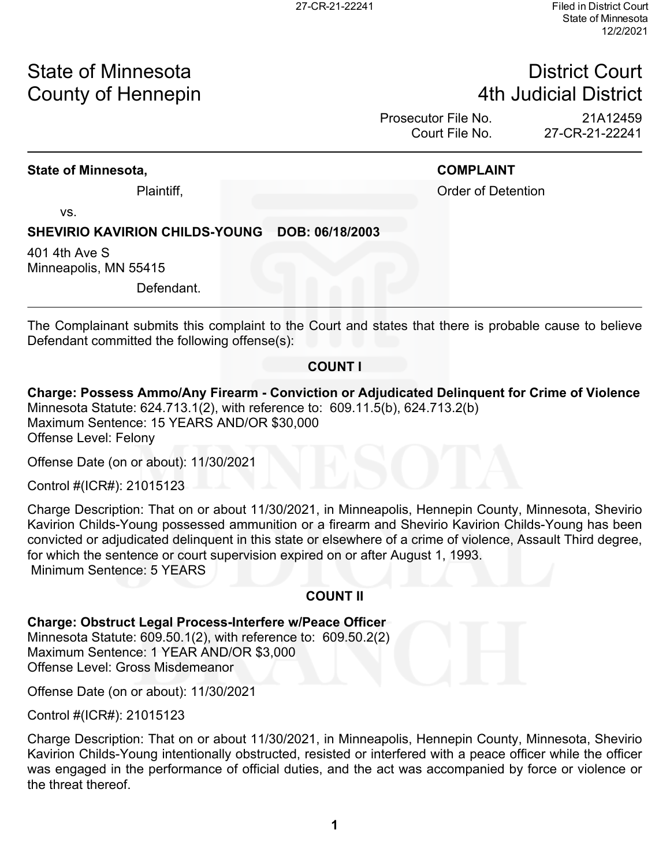# State of Minnesota **District Court County of Hennepin 1988** County of Hennepin **1988** County of Hennepin **1988** County of Hennepin **1988**

Prosecutor File No. 21A12459 Court File No. 27-CR-21-22241

#### **State of Minnesota, COMPLAINT**

Plaintiff, **Plaintiff**, **Plaintiff**, **Plaintiff**, **Order of Detention** 

vs.

### **SHEVIRIO KAVIRION CHILDS-YOUNG DOB: 06/18/2003**

401 4th Ave S Minneapolis, MN 55415

Defendant.

The Complainant submits this complaint to the Court and states that there is probable cause to believe Defendant committed the following offense(s):

#### **COUNT I**

#### **Charge: Possess Ammo/Any Firearm - Conviction or Adjudicated Delinquent for Crime of Violence** Minnesota Statute: 624.713.1(2), with reference to: 609.11.5(b), 624.713.2(b) Maximum Sentence: 15 YEARS AND/OR \$30,000 Offense Level: Felony

Offense Date (on or about): 11/30/2021

Control #(ICR#): 21015123

Charge Description: That on or about 11/30/2021, in Minneapolis, Hennepin County, Minnesota, Shevirio Kavirion Childs-Young possessed ammunition or a firearm and Shevirio Kavirion Childs-Young has been convicted or adjudicated delinquent in this state or elsewhere of a crime of violence, Assault Third degree, for which the sentence or court supervision expired on or after August 1, 1993. Minimum Sentence: 5 YEARS

### **COUNT II**

#### **Charge: Obstruct Legal Process-Interfere w/Peace Officer**

Minnesota Statute: 609.50.1(2), with reference to: 609.50.2(2) Maximum Sentence: 1 YEAR AND/OR \$3,000 Offense Level: Gross Misdemeanor

Offense Date (on or about): 11/30/2021

Control #(ICR#): 21015123

Charge Description: That on or about 11/30/2021, in Minneapolis, Hennepin County, Minnesota, Shevirio Kavirion Childs-Young intentionally obstructed, resisted or interfered with a peace officer while the officer was engaged in the performance of official duties, and the act was accompanied by force or violence or the threat thereof.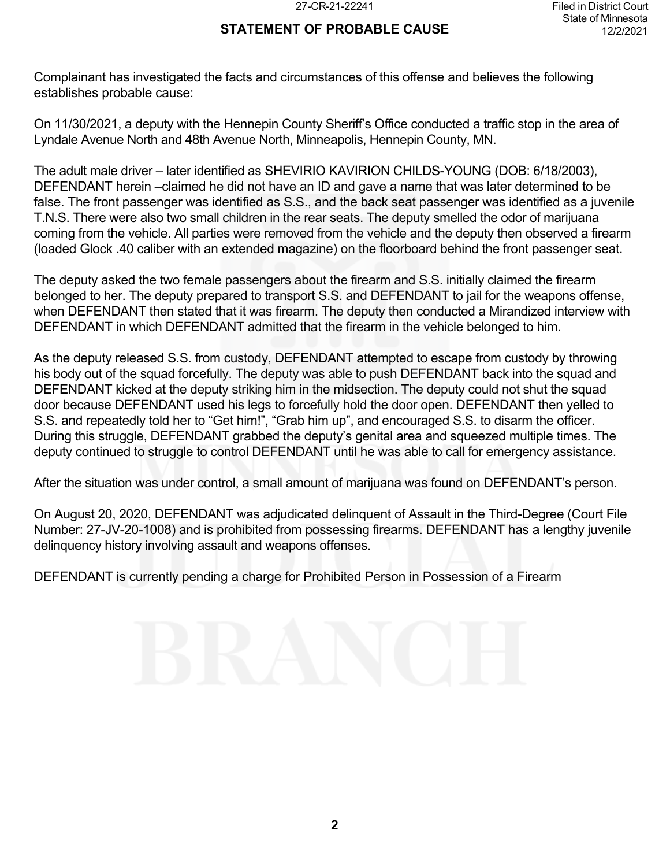### **STATEMENT OF PROBABLE CAUSE**

Complainant has investigated the facts and circumstances of this offense and believes the following establishes probable cause:

On 11/30/2021, a deputy with the Hennepin County Sheriff's Office conducted a traffic stop in the area of Lyndale Avenue North and 48th Avenue North, Minneapolis, Hennepin County, MN.

The adult male driver – later identified as SHEVIRIO KAVIRION CHILDS-YOUNG (DOB: 6/18/2003), DEFENDANT herein –claimed he did not have an ID and gave a name that was later determined to be false. The front passenger was identified as S.S., and the back seat passenger was identified as a juvenile T.N.S. There were also two small children in the rear seats. The deputy smelled the odor of marijuana coming from the vehicle. All parties were removed from the vehicle and the deputy then observed a firearm (loaded Glock .40 caliber with an extended magazine) on the floorboard behind the front passenger seat.

The deputy asked the two female passengers about the firearm and S.S. initially claimed the firearm belonged to her. The deputy prepared to transport S.S. and DEFENDANT to jail for the weapons offense, when DEFENDANT then stated that it was firearm. The deputy then conducted a Mirandized interview with DEFENDANT in which DEFENDANT admitted that the firearm in the vehicle belonged to him.

As the deputy released S.S. from custody, DEFENDANT attempted to escape from custody by throwing his body out of the squad forcefully. The deputy was able to push DEFENDANT back into the squad and DEFENDANT kicked at the deputy striking him in the midsection. The deputy could not shut the squad door because DEFENDANT used his legs to forcefully hold the door open. DEFENDANT then yelled to S.S. and repeatedly told her to "Get him!", "Grab him up", and encouraged S.S. to disarm the officer. During this struggle, DEFENDANT grabbed the deputy's genital area and squeezed multiple times. The deputy continued to struggle to control DEFENDANT until he was able to call for emergency assistance.

After the situation was under control, a small amount of marijuana was found on DEFENDANT's person.

On August 20, 2020, DEFENDANT was adjudicated delinquent of Assault in the Third-Degree (Court File Number: 27-JV-20-1008) and is prohibited from possessing firearms. DEFENDANT has a lengthy juvenile delinquency history involving assault and weapons offenses.

DEFENDANT is currently pending a charge for Prohibited Person in Possession of a Firearm

# **2**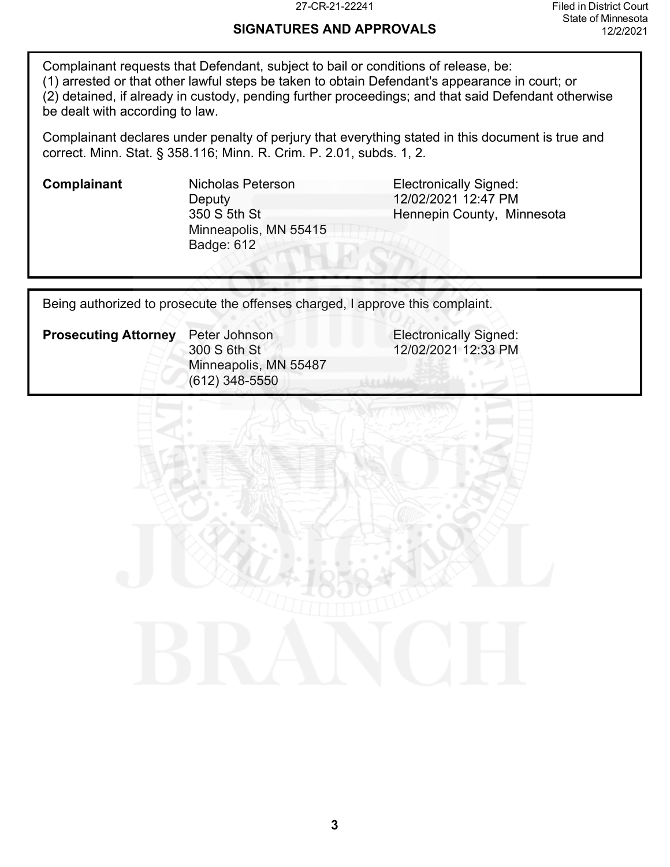### **SIGNATURES AND APPROVALS**

Complainant requests that Defendant, subject to bail or conditions of release, be: (1) arrested or that other lawful steps be taken to obtain Defendant's appearance in court; or (2) detained, if already in custody, pending further proceedings; and that said Defendant otherwise be dealt with according to law.

Complainant declares under penalty of perjury that everything stated in this document is true and correct. Minn. Stat. § 358.116; Minn. R. Crim. P. 2.01, subds. 1, 2.

**Deputy** 350 S 5th St Minneapolis, MN 55415 Badge: 612

**Complainant** Micholas Peterson **Electronically Signed:** 12/02/2021 12:47 PM Hennepin County, Minnesota

Being authorized to prosecute the offenses charged, I approve this complaint.

**Prosecuting Attorney** Peter Johnson **Electronically Signed:** 300 S 6th St Minneapolis, MN 55487 (612) 348-5550

12/02/2021 12:33 PM

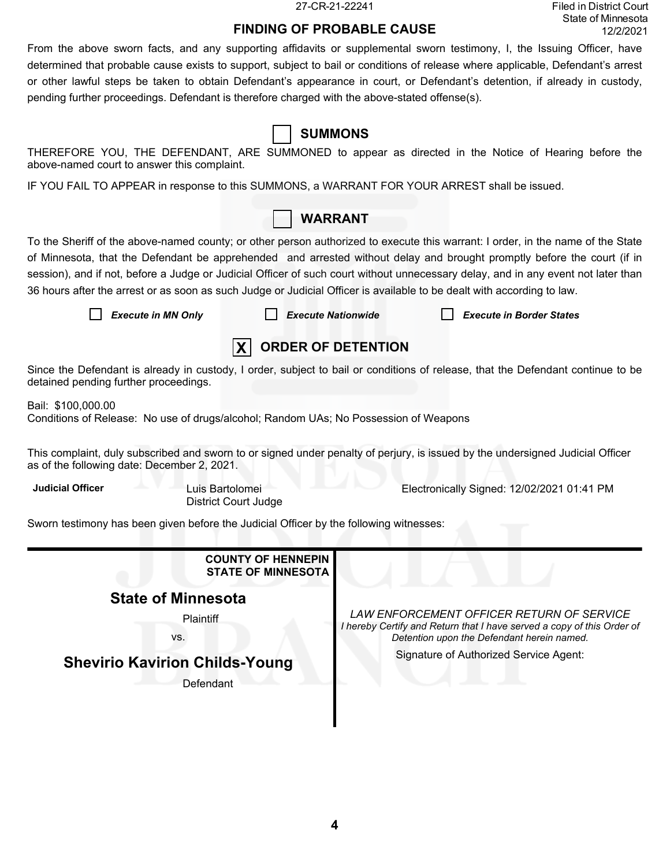27-CR-21-22241 Filed in District Court State of Minnesota 12/2/2021

# **FINDING OF PROBABLE CAUSE**

From the above sworn facts, and any supporting affidavits or supplemental sworn testimony, I, the Issuing Officer, have determined that probable cause exists to support, subject to bail or conditions of release where applicable, Defendant's arrest or other lawful steps be taken to obtain Defendant's appearance in court, or Defendant's detention, if already in custody, pending further proceedings. Defendant is therefore charged with the above-stated offense(s).

**SUMMONS**

| above-named court to answer this complaint.                                                                                                                                   |                           | THEREFORE YOU, THE DEFENDANT, ARE SUMMONED to appear as directed in the Notice of Hearing before the                                                                                                                                                                                                                                                                                                                               |  |  |  |  |  |  |
|-------------------------------------------------------------------------------------------------------------------------------------------------------------------------------|---------------------------|------------------------------------------------------------------------------------------------------------------------------------------------------------------------------------------------------------------------------------------------------------------------------------------------------------------------------------------------------------------------------------------------------------------------------------|--|--|--|--|--|--|
| IF YOU FAIL TO APPEAR in response to this SUMMONS, a WARRANT FOR YOUR ARREST shall be issued.                                                                                 |                           |                                                                                                                                                                                                                                                                                                                                                                                                                                    |  |  |  |  |  |  |
|                                                                                                                                                                               | <b>WARRANT</b>            |                                                                                                                                                                                                                                                                                                                                                                                                                                    |  |  |  |  |  |  |
| 36 hours after the arrest or as soon as such Judge or Judicial Officer is available to be dealt with according to law.<br><b>Execute in MN Only</b>                           | <b>Execute Nationwide</b> | To the Sheriff of the above-named county; or other person authorized to execute this warrant: I order, in the name of the State<br>of Minnesota, that the Defendant be apprehended and arrested without delay and brought promptly before the court (if in<br>session), and if not, before a Judge or Judicial Officer of such court without unnecessary delay, and in any event not later than<br><b>Execute in Border States</b> |  |  |  |  |  |  |
| <b>ORDER OF DETENTION</b>                                                                                                                                                     |                           |                                                                                                                                                                                                                                                                                                                                                                                                                                    |  |  |  |  |  |  |
| detained pending further proceedings.                                                                                                                                         |                           | Since the Defendant is already in custody, I order, subject to bail or conditions of release, that the Defendant continue to be                                                                                                                                                                                                                                                                                                    |  |  |  |  |  |  |
| Bail: \$100,000.00<br>Conditions of Release: No use of drugs/alcohol; Random UAs; No Possession of Weapons                                                                    |                           |                                                                                                                                                                                                                                                                                                                                                                                                                                    |  |  |  |  |  |  |
| This complaint, duly subscribed and sworn to or signed under penalty of perjury, is issued by the undersigned Judicial Officer<br>as of the following date: December 2, 2021. |                           |                                                                                                                                                                                                                                                                                                                                                                                                                                    |  |  |  |  |  |  |
| <b>Judicial Officer</b><br>Luis Bartolomei<br><b>District Court Judge</b>                                                                                                     |                           | Electronically Signed: 12/02/2021 01:41 PM                                                                                                                                                                                                                                                                                                                                                                                         |  |  |  |  |  |  |
| Sworn testimony has been given before the Judicial Officer by the following witnesses:                                                                                        |                           |                                                                                                                                                                                                                                                                                                                                                                                                                                    |  |  |  |  |  |  |
| <b>COUNTY OF HENNEPIN</b><br><b>STATE OF MINNESOTA</b>                                                                                                                        |                           |                                                                                                                                                                                                                                                                                                                                                                                                                                    |  |  |  |  |  |  |
| <b>State of Minnesota</b>                                                                                                                                                     |                           |                                                                                                                                                                                                                                                                                                                                                                                                                                    |  |  |  |  |  |  |
| Plaintiff<br>VS.                                                                                                                                                              |                           | LAW ENFORCEMENT OFFICER RETURN OF SERVICE<br>I hereby Certify and Return that I have served a copy of this Order of<br>Detention upon the Defendant herein named.                                                                                                                                                                                                                                                                  |  |  |  |  |  |  |
| <b>Shevirio Kavirion Childs-Young</b>                                                                                                                                         |                           | Signature of Authorized Service Agent:                                                                                                                                                                                                                                                                                                                                                                                             |  |  |  |  |  |  |
| Defendant                                                                                                                                                                     |                           |                                                                                                                                                                                                                                                                                                                                                                                                                                    |  |  |  |  |  |  |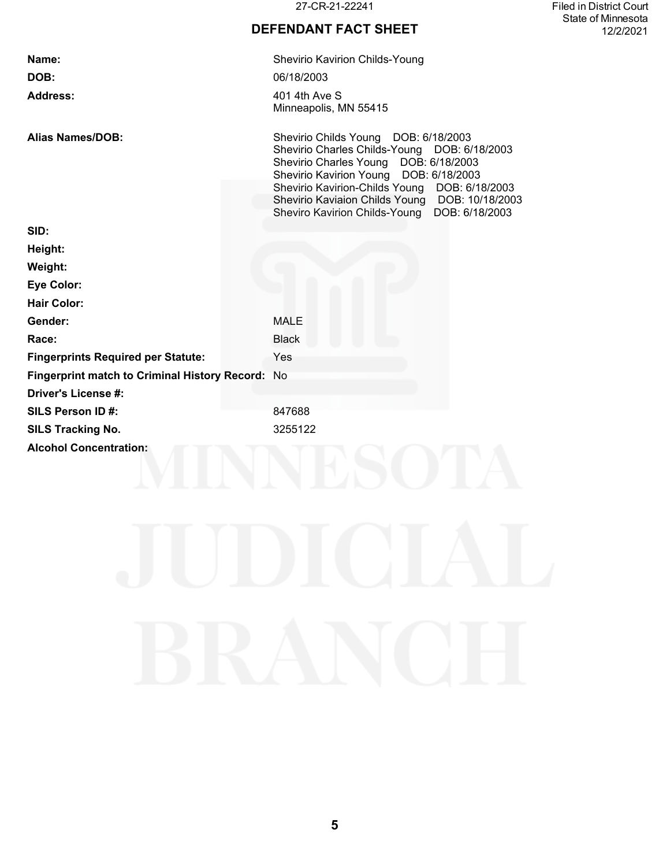27-CR-21-22241 Filed in District Court State of Minnesota 12/2/2021

# **DEFENDANT FACT SHEET**

| Name:                                            | Shevirio Kavirion Childs-Young                                                                                                                                                                                                                                                                                                |
|--------------------------------------------------|-------------------------------------------------------------------------------------------------------------------------------------------------------------------------------------------------------------------------------------------------------------------------------------------------------------------------------|
| DOB:                                             | 06/18/2003                                                                                                                                                                                                                                                                                                                    |
| <b>Address:</b>                                  | 401 4th Ave S<br>Minneapolis, MN 55415                                                                                                                                                                                                                                                                                        |
| Alias Names/DOB:                                 | Shevirio Childs Young DOB: 6/18/2003<br>Shevirio Charles Childs-Young DOB: 6/18/2003<br>Shevirio Charles Young DOB: 6/18/2003<br>Shevirio Kavirion Young DOB: 6/18/2003<br>Shevirio Kavirion-Childs Young DOB: 6/18/2003<br>Shevirio Kaviaion Childs Young DOB: 10/18/2003<br>Sheviro Kavirion Childs-Young<br>DOB: 6/18/2003 |
| SID:                                             |                                                                                                                                                                                                                                                                                                                               |
| Height:                                          |                                                                                                                                                                                                                                                                                                                               |
| Weight:                                          |                                                                                                                                                                                                                                                                                                                               |
| <b>Eye Color:</b>                                |                                                                                                                                                                                                                                                                                                                               |
| <b>Hair Color:</b>                               |                                                                                                                                                                                                                                                                                                                               |
| Gender:                                          | <b>MALE</b>                                                                                                                                                                                                                                                                                                                   |
| Race:                                            | <b>Black</b>                                                                                                                                                                                                                                                                                                                  |
| <b>Fingerprints Required per Statute:</b>        | Yes                                                                                                                                                                                                                                                                                                                           |
| Fingerprint match to Criminal History Record: No |                                                                                                                                                                                                                                                                                                                               |
| Driver's License #:                              |                                                                                                                                                                                                                                                                                                                               |
| SILS Person ID#:                                 | 847688                                                                                                                                                                                                                                                                                                                        |
| <b>SILS Tracking No.</b>                         | 3255122                                                                                                                                                                                                                                                                                                                       |
| <b>Alcohol Concentration:</b>                    |                                                                                                                                                                                                                                                                                                                               |